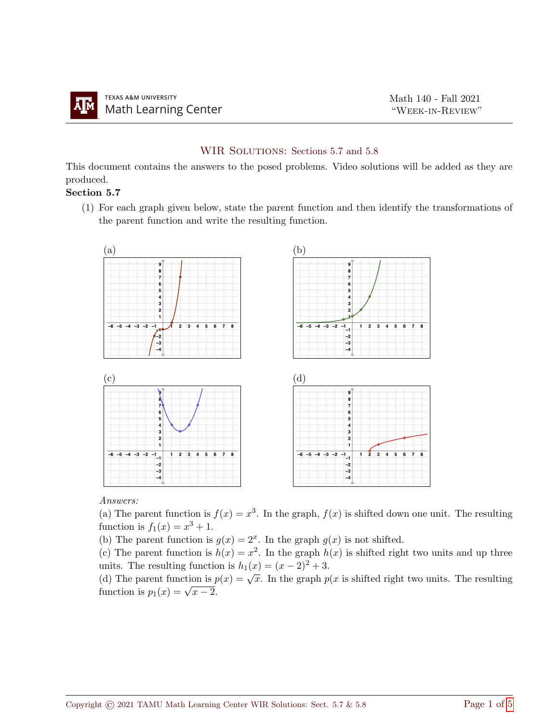## WIR SOLUTIONS: Sections 5.7 and 5.8

This document contains the answers to the posed problems. Video solutions will be added as they are produced.

## Section 5.7

(1) For each graph given below, state the parent function and then identify the transformations of the parent function and write the resulting function.



Answers:

(a) The parent function is  $f(x) = x^3$ . In the graph,  $f(x)$  is shifted down one unit. The resulting function is  $f_1(x) = x^3 + 1$ .

(b) The parent function is  $g(x) = 2^x$ . In the graph  $g(x)$  is not shifted.

(c) The parent function is  $h(x) = x^2$ . In the graph  $h(x)$  is shifted right two units and up three units. The resulting function is  $h_1(x) = (x-2)^2 + 3$ .

(d) The parent function is  $p(x) = \sqrt{x}$ . In the graph  $p(x)$  is shifted right two units. The resulting (a) The parent function is  $p_1(x) = \sqrt{x-2}$ .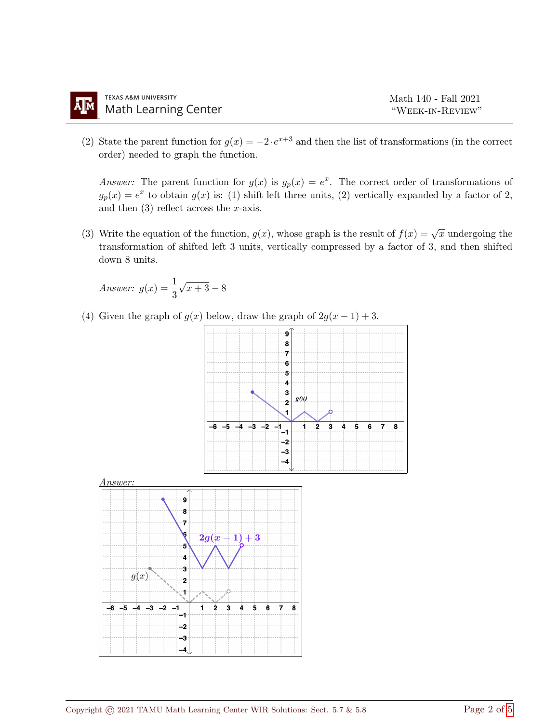(2) State the parent function for  $g(x) = -2 \cdot e^{x+3}$  and then the list of transformations (in the correct order) needed to graph the function.

Answer: The parent function for  $g(x)$  is  $g_p(x) = e^x$ . The correct order of transformations of  $g_p(x) = e^x$  to obtain  $g(x)$  is: (1) shift left three units, (2) vertically expanded by a factor of 2, and then  $(3)$  reflect across the x-axis.

(3) Write the equation of the function,  $g(x)$ , whose graph is the result of  $f(x) = \sqrt{x}$  undergoing the transformation of shifted left 3 units, vertically compressed by a factor of 3, and then shifted down 8 units.

Answer: 
$$
g(x) = \frac{1}{3}\sqrt{x+3} - 8
$$

(4) Given the graph of  $g(x)$  below, draw the graph of  $2g(x-1)+3$ .

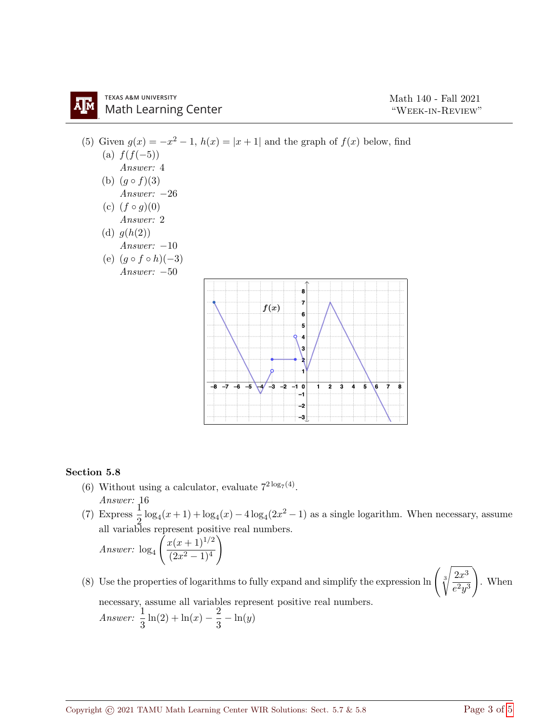## **TEXAS A&M UNIVERSITY Math Learning Center**



## Section 5.8

- (6) Without using a calculator, evaluate  $7^{2 \log_7(4)}$ . Answer: 16
- (7) Express  $\frac{1}{2}$  log<sub>4</sub>(x + 1) + log<sub>4</sub>(x) 4 log<sub>4</sub>(2x<sup>2</sup> 1) as a single logarithm. When necessary, assume all variables represent positive real numbers.

Answer: 
$$
\log_4\left(\frac{x(x+1)^{1/2}}{(2x^2-1)^4}\right)
$$

(8) Use the properties of logarithms to fully expand and simplify the expression  $\ln \left( \sqrt[3]{\frac{2x^3}{2}} \right)$  $e^2y^3$  $\setminus$ . When necessary, assume all variables represent positive real numbers. Answer:  $\frac{1}{3}\ln(2) + \ln(x) - \frac{2}{3}$  $\frac{2}{3} - \ln(y)$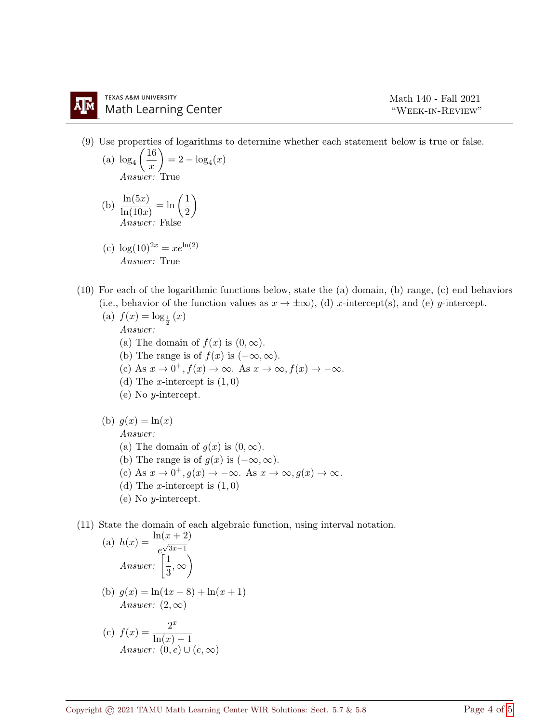- (9) Use properties of logarithms to determine whether each statement below is true or false.
	- (a)  $\log_4\left(\frac{16}{x}\right)$  $\boldsymbol{x}$  $= 2 - log_4(x)$ Answer: True
	- (b)  $\frac{\ln(5x)}{\ln(10x)} = \ln\left(\frac{1}{2}\right)$ 2  $\setminus$ Answer: False
	- (c)  $\log(10)^{2x} = xe^{\ln(2)}$ Answer: True
- (10) For each of the logarithmic functions below, state the (a) domain, (b) range, (c) end behaviors (i.e., behavior of the function values as  $x \to \pm \infty$ ), (d) x-intercept(s), and (e) y-intercept.
	- (a)  $f(x) = \log_{\frac{1}{2}}(x)$ Answer: (a) The domain of  $f(x)$  is  $(0, \infty)$ . (b) The range is of  $f(x)$  is  $(-\infty, \infty)$ . (c) As  $x \to 0^+, f(x) \to \infty$ . As  $x \to \infty, f(x) \to -\infty$ . (d) The *x*-intercept is  $(1, 0)$ (e) No y-intercept.
	- (b)  $g(x) = \ln(x)$ Answer: (a) The domain of  $g(x)$  is  $(0, \infty)$ . (b) The range is of  $g(x)$  is  $(-\infty, \infty)$ . (c) As  $x \to 0^+, g(x) \to -\infty$ . As  $x \to \infty, g(x) \to \infty$ . (d) The *x*-intercept is  $(1, 0)$ 
		- (e) No y-intercept.
- (11) State the domain of each algebraic function, using interval notation.

(a) 
$$
h(x) = \frac{\ln(x+2)}{e^{\sqrt{3x-1}}}
$$
  
\nAnswer:  $\left(\frac{1}{3}, \infty\right)$   
\n(b)  $g(x) = \ln(4x - 8) + \ln(x + 1)$   
\nAnswer:  $(2, \infty)$   
\n(c)  $f(x) = \frac{2^x}{1-(x-1)^2}$ 

c) 
$$
f(x) = \frac{1}{\ln(x) - 1}
$$
  
Answer:  $(0, e) \cup (e, \infty)$